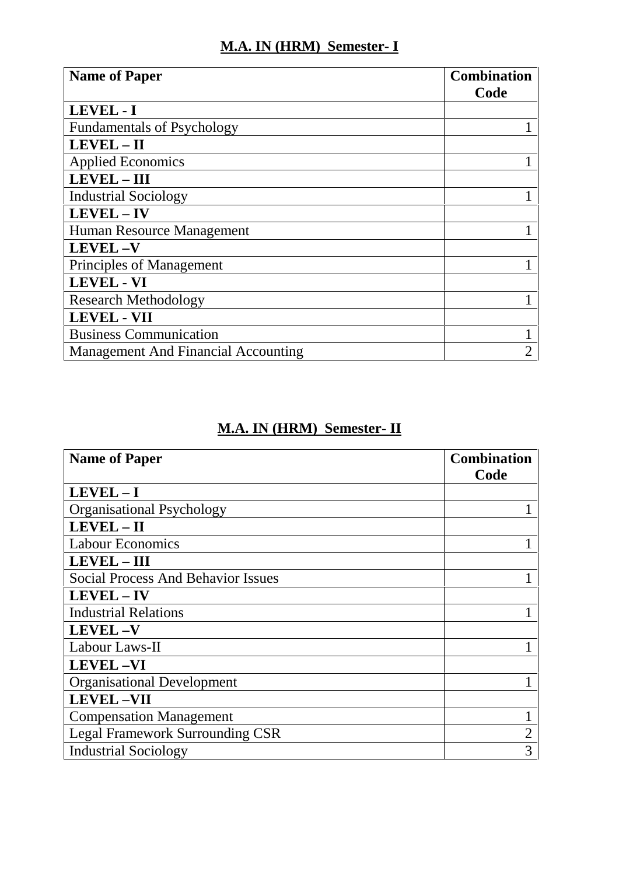## **M.A. IN (HRM) Semester- I**

| <b>Name of Paper</b>                       | <b>Combination</b><br>Code |
|--------------------------------------------|----------------------------|
| LEVEL - I                                  |                            |
| <b>Fundamentals of Psychology</b>          |                            |
| LEVEL-II                                   |                            |
| <b>Applied Economics</b>                   |                            |
| $LEVEL - III$                              |                            |
| <b>Industrial Sociology</b>                |                            |
| <b>LEVEL-IV</b>                            |                            |
| Human Resource Management                  |                            |
| <b>LEVEL-V</b>                             |                            |
| Principles of Management                   |                            |
| <b>LEVEL - VI</b>                          |                            |
| <b>Research Methodology</b>                |                            |
| <b>LEVEL - VII</b>                         |                            |
| <b>Business Communication</b>              |                            |
| <b>Management And Financial Accounting</b> | 2                          |

## **M.A. IN (HRM) Semester- II**

| <b>Name of Paper</b>                      | <b>Combination</b><br>Code |
|-------------------------------------------|----------------------------|
| $LEVEL - I$                               |                            |
| <b>Organisational Psychology</b>          |                            |
| LEVEL-II                                  |                            |
| <b>Labour Economics</b>                   |                            |
| <b>LEVEL - III</b>                        |                            |
| <b>Social Process And Behavior Issues</b> |                            |
| <b>LEVEL-IV</b>                           |                            |
| <b>Industrial Relations</b>               |                            |
| <b>LEVEL-V</b>                            |                            |
| Labour Laws-II                            |                            |
| <b>LEVEL-VI</b>                           |                            |
| <b>Organisational Development</b>         |                            |
| <b>LEVEL-VII</b>                          |                            |
| <b>Compensation Management</b>            |                            |
| <b>Legal Framework Surrounding CSR</b>    | $\overline{2}$             |
| <b>Industrial Sociology</b>               | 3                          |